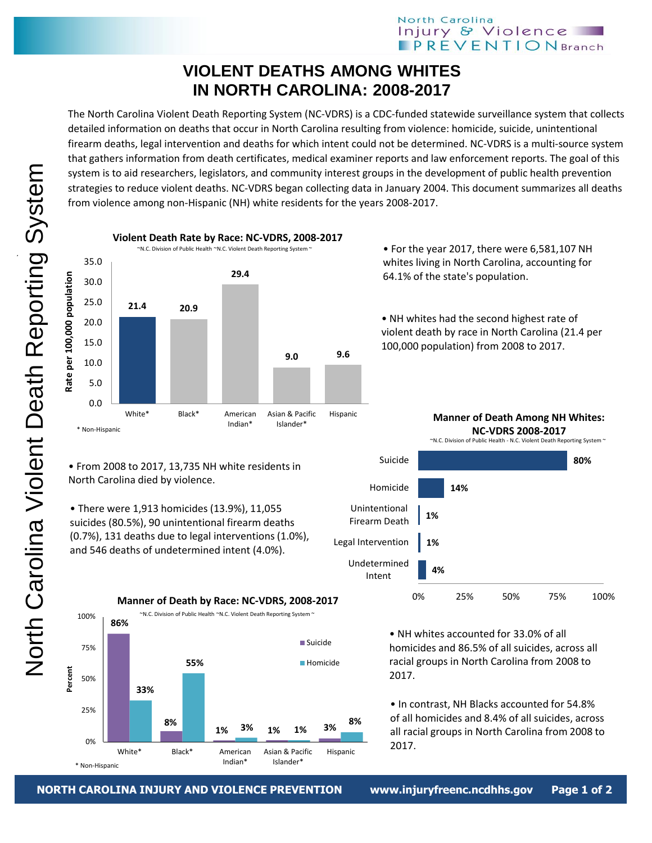## North Carolina Injury & Violence **PREVENTION** Branch

## **VIOLENT DEATHS AMONG WHITES IN NORTH CAROLINA: 2008-2017**

The North Carolina Violent Death Reporting System (NC-VDRS) is a CDC-funded statewide surveillance system that collects detailed information on deaths that occur in North Carolina resulting from violence: homicide, suicide, unintentional firearm deaths, legal intervention and deaths for which intent could not be determined. NC-VDRS is a multi-source system that gathers information from death certificates, medical examiner reports and law enforcement reports. The goal of this system is to aid researchers, legislators, and community interest groups in the development of public health prevention strategies to reduce violent deaths. NC-VDRS began collecting data in January 2004. This document summarizes all deaths from violence among non-Hispanic (NH) white residents for the years 2008-2017.



**3% 1%**

Asian & Pacific Islander\*

**8%**

Hispanic

Suicide

**Homicide** 

**Manner of Death Among NH Whites: NC-VDRS 2008-2017**

~N.C. Division of Public Health - N.C. Violent Death Reporting System ~



• NH whites accounted for 33.0% of all homicides and 86.5% of all suicides, across all racial groups in North Carolina from 2008 to 2017.

• In contrast, NH Blacks accounted for 54.8% of all homicides and 8.4% of all suicides, across all racial groups in North Carolina from 2008 to 2017.



suicides (80.5%), 90 unintentional firearm deaths

and 546 deaths of undetermined intent (4.0%).

**NORTH CAROLINA INJURY AND VIOLENCE PREVENTION www.injuryfreenc.ncdhhs.gov Page 1 of 2**